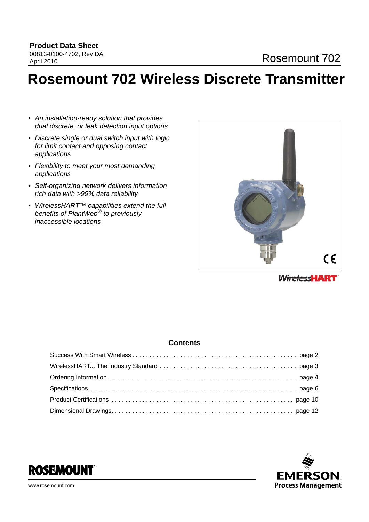# **Rosemount 702 Wireless Discrete Transmitter**

- *An installation-ready solution that provides dual discrete, or leak detection input options*
- *Discrete single or dual switch input with logic for limit contact and opposing contact applications*
- *Flexibility to meet your most demanding applications*
- *Self-organizing network delivers information rich data with >99% data reliability*
- *WirelessHART™ capabilities extend the full benefits of PlantWeb® to previously inaccessible locations*



**WirelessHART** 

### **Contents**



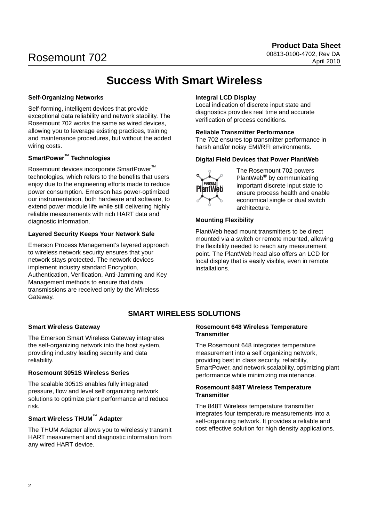## **Success With Smart Wireless**

#### <span id="page-1-0"></span>**Self-Organizing Networks**

Self-forming, intelligent devices that provide exceptional data reliability and network stability. The Rosemount 702 works the same as wired devices, allowing you to leverage existing practices, training and maintenance procedures, but without the added wiring costs.

## **SmartPower™ Technologies**

Rosemount devices incorporate SmartPower™ technologies, which refers to the benefits that users enjoy due to the engineering efforts made to reduce power consumption. Emerson has power-optimized our instrumentation, both hardware and software, to extend power module life while still delivering highly reliable measurements with rich HART data and diagnostic information.

### **Layered Security Keeps Your Network Safe**

Emerson Process Management's layered approach to wireless network security ensures that your network stays protected. The network devices implement industry standard Encryption, Authentication, Verification, Anti-Jamming and Key Management methods to ensure that data transmissions are received only by the Wireless Gateway.

### **Integral LCD Display**

Local indication of discrete input state and diagnostics provides real time and accurate verification of process conditions.

#### **Reliable Transmitter Performance**

The 702 ensures top transmitter performance in harsh and/or noisy EMI/RFI environments.

#### **Digital Field Devices that Power PlantWeb**



The Rosemount 702 powers PlantWeb® by communicating important discrete input state to ensure process health and enable economical single or dual switch architecture.

### **Mounting Flexibility**

PlantWeb head mount transmitters to be direct mounted via a switch or remote mounted, allowing the flexibility needed to reach any measurement point. The PlantWeb head also offers an LCD for local display that is easily visible, even in remote installations.

## **SMART WIRELESS SOLUTIONS**

#### **Smart Wireless Gateway**

The Emerson Smart Wireless Gateway integrates the self-organizing network into the host system, providing industry leading security and data reliability.

#### **Rosemount 3051S Wireless Series**

The scalable 3051S enables fully integrated pressure, flow and level self organizing network solutions to optimize plant performance and reduce risk.

## **Smart Wireless THUM™ Adapter**

The THUM Adapter allows you to wirelessly transmit HART measurement and diagnostic information from any wired HART device.

#### **Rosemount 648 Wireless Temperature Transmitter**

The Rosemount 648 integrates temperature measurement into a self organizing network, providing best in class security, reliability, SmartPower, and network scalability, optimizing plant performance while minimizing maintenance.

#### **Rosemount 848T Wireless Temperature Transmitter**

The 848T Wireless temperature transmitter integrates four temperature measurements into a self-organizing network. It provides a reliable and cost effective solution for high density applications.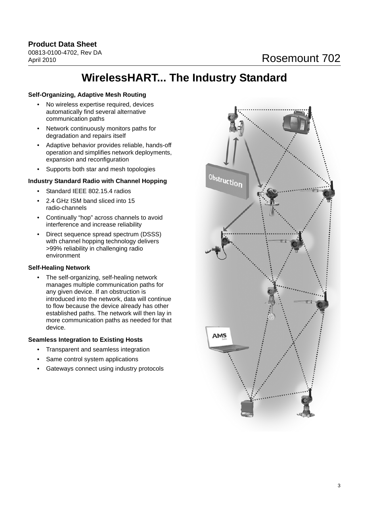## **WirelessHART... The Industry Standard**

#### <span id="page-2-0"></span>**Self-Organizing, Adaptive Mesh Routing**

- No wireless expertise required, devices automatically find several alternative communication paths
- Network continuously monitors paths for degradation and repairs itself
- Adaptive behavior provides reliable, hands-off operation and simplifies network deployments, expansion and reconfiguration
- Supports both star and mesh topologies

### **Industry Standard Radio with Channel Hopping**

- Standard IEEE 802.15.4 radios
- 2.4 GHz ISM band sliced into 15 radio-channels
- Continually "hop" across channels to avoid interference and increase reliability
- Direct sequence spread spectrum (DSSS) with channel hopping technology delivers >99% reliability in challenging radio environment

#### **Self-Healing Network**

• The self-organizing, self-healing network manages multiple communication paths for any given device. If an obstruction is introduced into the network, data will continue to flow because the device already has other established paths. The network will then lay in more communication paths as needed for that device.

#### **Seamless Integration to Existing Hosts**

- Transparent and seamless integration
- Same control system applications
- Gateways connect using industry protocols

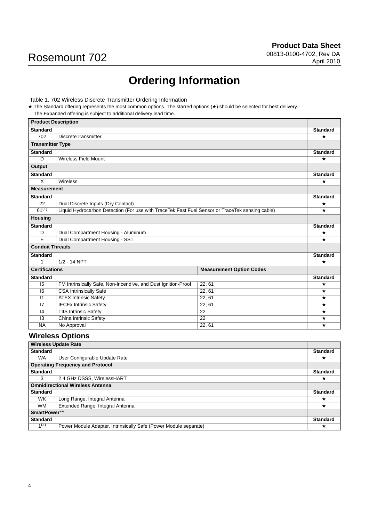## **Ordering Information**

<span id="page-3-0"></span>Table 1. 702 Wireless Discrete Transmitter Ordering Information

★ The Standard offering represents the most common options. The starred options (★) should be selected for best delivery. The Expanded offering is subject to additional delivery lead time.

| <b>Product Description</b> |                                                                                                 |                                 |                    |
|----------------------------|-------------------------------------------------------------------------------------------------|---------------------------------|--------------------|
| <b>Standard</b>            |                                                                                                 |                                 | <b>Standard</b>    |
| 702                        | <b>DiscreteTransmitter</b>                                                                      |                                 | $\star$            |
| <b>Transmitter Type</b>    |                                                                                                 |                                 |                    |
| <b>Standard</b>            |                                                                                                 |                                 | <b>Standard</b>    |
| D                          | <b>Wireless Field Mount</b>                                                                     |                                 | $\star$            |
| Output                     |                                                                                                 |                                 |                    |
| <b>Standard</b>            |                                                                                                 |                                 | <b>Standard</b>    |
| $\overline{\mathsf{x}}$    | <b>Wireless</b>                                                                                 |                                 | $\star$            |
| <b>Measurement</b>         |                                                                                                 |                                 |                    |
| <b>Standard</b>            |                                                                                                 |                                 | <b>Standard</b>    |
| 22                         | Dual Discrete Inputs (Dry Contact)                                                              |                                 | $\star$            |
| $61^{(1)}$                 | Liquid Hydrocarbon Detection (For use with TraceTek Fast Fuel Sensor or TraceTek sensing cable) |                                 | $\star$            |
| <b>Housing</b>             |                                                                                                 |                                 |                    |
| <b>Standard</b>            |                                                                                                 |                                 | <b>Standard</b>    |
| D                          | Dual Compartment Housing - Aluminum                                                             |                                 | $\star$            |
| Ē                          | Dual Compartment Housing - SST                                                                  |                                 | $\star$            |
| <b>Conduit Threads</b>     |                                                                                                 |                                 |                    |
| <b>Standard</b>            |                                                                                                 |                                 | <b>Standard</b>    |
| $\mathbf{1}$               | $1/2 - 14$ NPT                                                                                  |                                 | $\star$            |
| <b>Certifications</b>      |                                                                                                 | <b>Measurement Option Codes</b> |                    |
| <b>Standard</b>            |                                                                                                 |                                 | <b>Standard</b>    |
| 15                         | FM Intrinsically Safe, Non-Incendive, and Dust Ignition-Proof                                   | 22, 61                          | $\star$            |
| 6                          | <b>CSA Intrinsically Safe</b>                                                                   | 22, 61                          | $\star$            |
| 1                          | <b>ATEX Intrinsic Safety</b>                                                                    | 22, 61                          | $\star$            |
| 7                          | <b>IECEx Intrinsic Safety</b>                                                                   | 22, 61                          | $\star$            |
| 4                          | <b>TIIS Intrinsic Safety</b>                                                                    | 22                              | $\star$            |
| $\overline{13}$            | China Intrinsic Safety                                                                          | $\overline{22}$                 | $\star$<br>$\star$ |
| <b>NA</b>                  | No Approval<br>22, 61                                                                           |                                 |                    |

## **Wireless Options**

| <b>Wireless Update Rate</b> |                                                                  |                 |
|-----------------------------|------------------------------------------------------------------|-----------------|
| <b>Standard</b>             |                                                                  | <b>Standard</b> |
| <b>WA</b>                   | User Configurable Update Rate                                    | $\star$         |
|                             | <b>Operating Frequency and Protocol</b>                          |                 |
| <b>Standard</b>             |                                                                  | <b>Standard</b> |
| 3                           | 2.4 GHz DSSS, WirelessHART                                       | $\star$         |
|                             | <b>Omnidirectional Wireless Antenna</b>                          |                 |
| <b>Standard</b>             |                                                                  | <b>Standard</b> |
| WK.                         | Long Range, Integral Antenna                                     | ★               |
| <b>WM</b>                   | Extended Range, Integral Antenna                                 | $\star$         |
| SmartPower™                 |                                                                  |                 |
| <b>Standard</b>             |                                                                  | <b>Standard</b> |
| $1^{(2)}$                   | Power Module Adapter, Intrinsically Safe (Power Module separate) | ★               |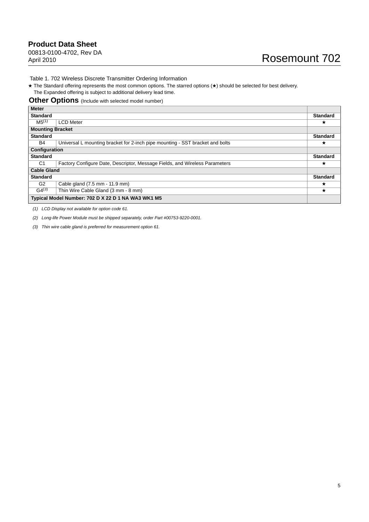Table 1. 702 Wireless Discrete Transmitter Ordering Information

★ The Standard offering represents the most common options. The starred options (★) should be selected for best delivery. The Expanded offering is subject to additional delivery lead time.

#### **Other Options** (Include with selected model number)

| <b>Meter</b>            |                                                                               |                 |
|-------------------------|-------------------------------------------------------------------------------|-----------------|
| <b>Standard</b>         |                                                                               | <b>Standard</b> |
| MS <sup>(1)</sup>       | <b>LCD Meter</b>                                                              | ★               |
| <b>Mounting Bracket</b> |                                                                               |                 |
| <b>Standard</b>         |                                                                               | <b>Standard</b> |
| B4                      | Universal L mounting bracket for 2-inch pipe mounting - SST bracket and bolts | $\star$         |
| Configuration           |                                                                               |                 |
| <b>Standard</b>         |                                                                               | <b>Standard</b> |
| C <sub>1</sub>          | Factory Configure Date, Descriptor, Message Fields, and Wireless Parameters   | ★               |
| <b>Cable Gland</b>      |                                                                               |                 |
| <b>Standard</b>         |                                                                               | <b>Standard</b> |
| G <sub>2</sub>          | Cable gland (7.5 mm - 11.9 mm)                                                | $\star$         |
| $G4^{(3)}$              | Thin Wire Cable Gland (3 mm - 8 mm)                                           | $\star$         |
|                         | Typical Model Number: 702 D X 22 D 1 NA WA3 WK1 M5                            |                 |

<span id="page-4-0"></span>*(1) LCD Display not available for option code 61.*

*(2) Long-life Power Module must be shipped separately, order Part #00753-9220-0001.*

*(3) Thin wire cable gland is preferred for measurement option 61.*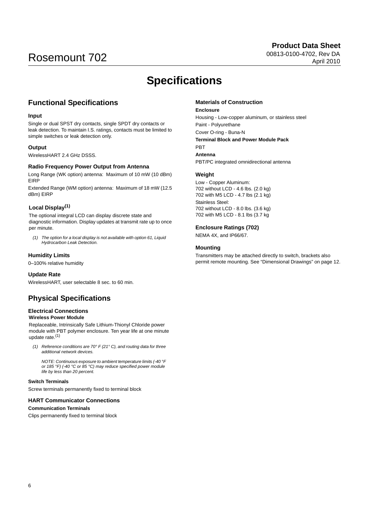## **Specifications**

## <span id="page-5-0"></span>**Functional Specifications**

#### **Input**

Single or dual SPST dry contacts, single SPDT dry contacts or leak detection. To maintain I.S. ratings, contacts must be limited to simple switches or leak detection only.

#### **Output**

WirelessHART 2.4 GHz DSSS.

#### **Radio Frequency Power Output from Antenna**

Long Range (WK option) antenna: Maximum of 10 mW (10 dBm) EIRP

Extended Range (WM option) antenna: Maximum of 18 mW (12.5 dBm) EIRP

#### **Local Display(1)**

The optional integral LCD can display discrete state and diagnostic information. Display updates at transmit rate up to once per minute.

*(1) The option for a local display is not available with option 61, Liquid Hydrocarbon Leak Detection.*

#### **Humidity Limits**

0–100% relative humidity

#### **Update Rate**

WirelessHART, user selectable 8 sec. to 60 min.

## **Physical Specifications**

## **Electrical Connections**

**Wireless Power Module**

Replaceable, Intrinsically Safe Lithium-Thionyl Chloride power module with PBT polymer enclosure. Ten year life at one minute update rate.(1)

*(1) Reference conditions are 70° F (21° C), and routing data for three additional network devices.* 

*NOTE: Continuous exposure to ambient temperature limits (-40 °F or 185 °F) (-40 °C or 85 °C) may reduce specified power module life by less than 20 percent.*

#### **Switch Terminals**

Screw terminals permanently fixed to terminal block

#### **HART Communicator Connections**

#### **Communication Terminals**

Clips permanently fixed to terminal block

#### **Materials of Construction**

#### **Enclosure**

Housing - Low-copper aluminum, or stainless steel Paint - Polyurethane Cover O-ring - Buna-N **Terminal Block and Power Module Pack** PBT **Antenna**

PBT/PC integrated omnidirectional antenna

#### **Weight**

Low - Copper Aluminum: 702 without LCD - 4.6 lbs. (2.0 kg) 702 with M5 LCD - 4.7 lbs (2.1 kg) Stainless Steel: 702 without LCD - 8.0 lbs. (3.6 kg) 702 with M5 LCD - 8.1 lbs (3.7 kg

#### **Enclosure Ratings (702)**

NEMA 4X, and IP66/67.

#### **Mounting**

Transmitters may be attached directly to switch, brackets also permit remote mounting. See ["Dimensional Drawings" on page 12](#page-11-0).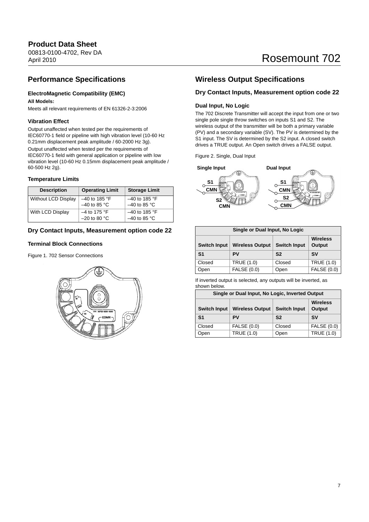## **Product Data Sheet**

00813-0100-4702, Rev DA April 2010

## Rosemount 702

## **Performance Specifications**

### **ElectroMagnetic Compatibility (EMC)**

#### **All Models:**

Meets all relevant requirements of EN 61326-2-3:2006

#### **Vibration Effect**

Output unaffected when tested per the requirements of IEC60770-1 field or pipeline with high vibration level (10-60 Hz 0.21mm displacement peak amplitude / 60-2000 Hz 3g). Output unaffected when tested per the requirements of IEC60770-1 field with general application or pipeline with low vibration level (10-60 Hz 0.15mm displacement peak amplitude / 60-500 Hz 2g).

#### **Temperature Limits**

| <b>Description</b>         | <b>Operating Limit</b> | <b>Storage Limit</b> |
|----------------------------|------------------------|----------------------|
| <b>Without LCD Display</b> | $-40$ to 185 °F        | $-40$ to 185 °F      |
|                            | $-40$ to 85 °C         | $-40$ to 85 °C       |
| With LCD Display           | $-4$ to 175 °F         | $-40$ to 185 °F      |
|                            | $-20$ to 80 °C         | $-40$ to 85 °C       |

#### **Dry Contact Inputs, Measurement option code 22**

#### **Terminal Block Connections**

Figure 1. 702 Sensor Connections



## **Wireless Output Specifications**

#### **Dry Contact Inputs, Measurement option code 22**

#### **Dual Input, No Logic**

The 702 Discrete Transmitter will accept the input from one or two single pole single throw switches on inputs S1 and S2. The wireless output of the transmitter will be both a primary variable (PV) and a secondary variable (SV). The PV is determined by the S1 input. The SV is determined by the S2 input. A closed switch drives a TRUE output. An Open switch drives a FALSE output.

Figure 2. Single, Dual Input



| Single or Dual Input, No Logic |                        |                     |                           |
|--------------------------------|------------------------|---------------------|---------------------------|
| <b>Switch Input</b>            | <b>Wireless Output</b> | <b>Switch Input</b> | <b>Wireless</b><br>Output |
| S <sub>1</sub>                 | PV                     | S <sub>2</sub>      | <b>SV</b>                 |
| Closed                         | <b>TRUE (1.0)</b>      | Closed              | <b>TRUE (1.0)</b>         |
| Open                           | <b>FALSE (0.0)</b>     | Open                | <b>FALSE (0.0)</b>        |

If inverted output is selected, any outputs will be inverted, as shown below.

| Single or Dual Input, No Logic, Inverted Output                                |                    |                 |                    |
|--------------------------------------------------------------------------------|--------------------|-----------------|--------------------|
| <b>Switch Input</b><br><b>Switch Input</b><br><b>Wireless Output</b><br>Output |                    | <b>Wireless</b> |                    |
| S <sub>1</sub>                                                                 | PV                 | S <sub>2</sub>  | <b>SV</b>          |
| Closed                                                                         | <b>FALSE (0.0)</b> | Closed          | <b>FALSE (0.0)</b> |
| Open                                                                           | <b>TRUE (1.0)</b>  | Open            | <b>TRUE (1.0)</b>  |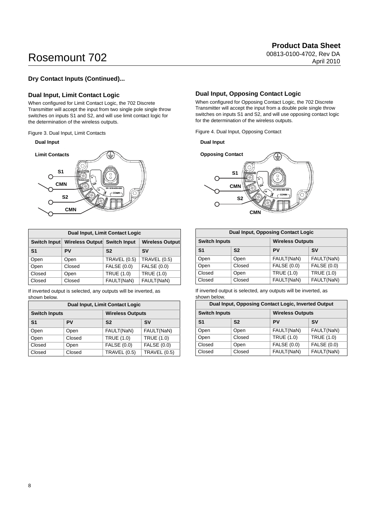## Rosemount 702 april 2010-1702

#### **Dry Contact Inputs (Continued)...**

#### **Dual Input, Limit Contact Logic**

When configured for Limit Contact Logic, the 702 Discrete Transmitter will accept the input from two single pole single throw switches on inputs S1 and S2, and will use limit contact logic for the determination of the wireless outputs.

Figure 3. Dual Input, Limit Contacts

#### **Dual Input**



| <b>Dual Input, Limit Contact Logic</b> |                              |                     |                        |
|----------------------------------------|------------------------------|---------------------|------------------------|
| Switch Input                           | Wireless Output Switch Input |                     | <b>Wireless Output</b> |
| S <sub>1</sub>                         | PV                           | S <sub>2</sub>      | <b>SV</b>              |
| Open                                   | Open                         | <b>TRAVEL (0.5)</b> | <b>TRAVEL (0.5)</b>    |
| Open                                   | Closed                       | <b>FALSE (0.0)</b>  | <b>FALSE (0.0)</b>     |
| Closed                                 | Open                         | <b>TRUE (1.0)</b>   | <b>TRUE (1.0)</b>      |
| Closed                                 | Closed                       | FAULT(NaN)          | FAULT(NaN)             |

If inverted output is selected, any outputs will be inverted, as shown below.

| <b>Dual Input, Limit Contact Logic</b> |        |                         |                     |
|----------------------------------------|--------|-------------------------|---------------------|
| <b>Switch Inputs</b>                   |        | <b>Wireless Outputs</b> |                     |
| S <sub>1</sub>                         | PV     | S <sub>2</sub>          | <b>SV</b>           |
| Open                                   | Open   | FAULT(NaN)              | FAULT(NaN)          |
| Open                                   | Closed | <b>TRUE (1.0)</b>       | <b>TRUE (1.0)</b>   |
| Closed                                 | Open   | <b>FALSE (0.0)</b>      | <b>FALSE (0.0)</b>  |
| Closed                                 | Closed | <b>TRAVEL (0.5)</b>     | <b>TRAVEL (0.5)</b> |

#### **Dual Input, Opposing Contact Logic**

When configured for Opposing Contact Logic, the 702 Discrete Transmitter will accept the input from a double pole single throw switches on inputs S1 and S2, and will use opposing contact logic for the determination of the wireless outputs.

Figure 4. Dual Input, Opposing Contact

**Dual Input**



| <b>Dual Input, Opposing Contact Logic</b> |                |                         |                   |
|-------------------------------------------|----------------|-------------------------|-------------------|
| <b>Switch Inputs</b>                      |                | <b>Wireless Outputs</b> |                   |
| S <sub>1</sub>                            | S <sub>2</sub> | PV                      | <b>SV</b>         |
| Open                                      | Open           | FAULT(NaN)              | FAULT(NaN)        |
| Open                                      | Closed         | <b>FALSE (0.0)</b>      | FALSE (0.0)       |
| Closed                                    | Open           | <b>TRUE (1.0)</b>       | <b>TRUE (1.0)</b> |
| Closed                                    | Closed         | FAULT(NaN)              | FAULT(NaN)        |

If inverted output is selected, any outputs will be inverted, as shown below.

| Dual Input, Opposing Contact Logic, Inverted Output |                |                         |                    |
|-----------------------------------------------------|----------------|-------------------------|--------------------|
| <b>Switch Inputs</b>                                |                | <b>Wireless Outputs</b> |                    |
| S <sub>1</sub>                                      | S <sub>2</sub> | PV                      | <b>SV</b>          |
| Open                                                | Open           | FAULT(NaN)              | FAULT(NaN)         |
| Open                                                | Closed         | <b>TRUE (1.0)</b>       | <b>TRUE (1.0)</b>  |
| Closed                                              | Open           | <b>FALSE (0.0)</b>      | <b>FALSE (0.0)</b> |
| Closed                                              | Closed         | FAULT(NaN)              | FAULT(NaN)         |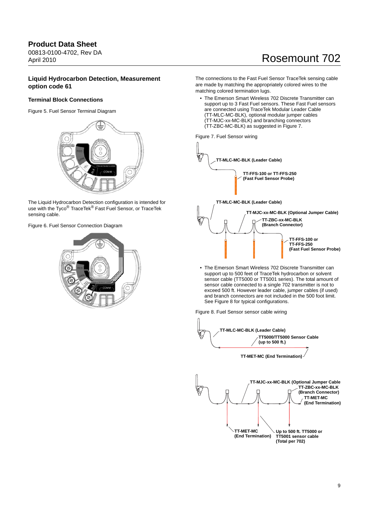#### **Product Data Sheet** 00813-0100-4702, Rev DA April 2010

## Rosemount 702

#### **Liquid Hydrocarbon Detection, Measurement option code 61**

#### **Terminal Block Connections**

Figure 5. Fuel Sensor Terminal Diagram



The Liquid Hydrocarbon Detection configuration is intended for use with the Tyco<sup>®</sup> TraceTek<sup>®</sup> Fast Fuel Sensor, or TraceTek sensing cable.

Figure 6. Fuel Sensor Connection Diagram



The connections to the Fast Fuel Sensor TraceTek sensing cable are made by matching the appropriately colored wires to the matching colored termination lugs.

• The Emerson Smart Wireless 702 Discrete Transmitter can support up to 3 Fast Fuel sensors. These Fast Fuel sensors are connected using TraceTek Modular Leader Cable (TT-MLC-MC-BLK), optional modular jumper cables (TT-MJC-xx-MC-BLK) and branching connectors (TT-ZBC-MC-BLK) as suggested in [Figure 7.](#page-8-0)

<span id="page-8-0"></span>Figure 7. Fuel Sensor wiring



• The Emerson Smart Wireless 702 Discrete Transmitter can support up to 500 feet of TraceTek hydrocarbon or solvent sensor cable (TT5000 or TT5001 series). The total amount of sensor cable connected to a single 702 transmitter is not to exceed 500 ft. However leader cable, jumper cables (if used) and branch connectors are not included in the 500 foot limit. See [Figure 8](#page-8-1) for typical configurations.

<span id="page-8-1"></span>Figure 8. Fuel Sensor sensor cable wiring

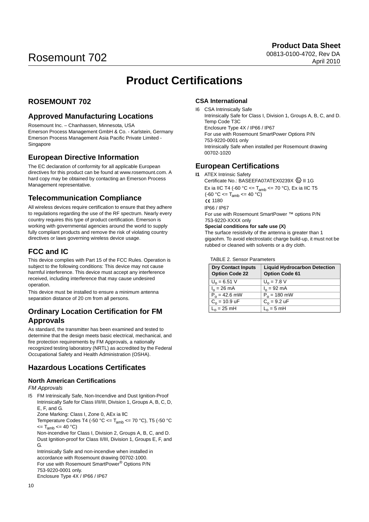## **Product Certifications**

## <span id="page-9-0"></span>**ROSEMOUNT 702**

### **Approved Manufacturing Locations**

Rosemount Inc. – Chanhassen, Minnesota, USA Emerson Process Management GmbH & Co. - Karlstein, Germany Emerson Process Management Asia Pacific Private Limited - Singapore

## **European Directive Information**

The EC declaration of conformity for all applicable European directives for this product can be found at www.rosemount.com. A hard copy may be obtained by contacting an Emerson Process Management representative.

## **Telecommunication Compliance**

All wireless devices require certification to ensure that they adhere to regulations regarding the use of the RF spectrum. Nearly every country requires this type of product certification. Emerson is working with governmental agencies around the world to supply fully compliant products and remove the risk of violating country directives or laws governing wireless device usage.

## **FCC and IC**

This device complies with Part 15 of the FCC Rules. Operation is subject to the following conditions: This device may not cause harmful interference. This device must accept any interference received, including interference that may cause undesired operation.

This device must be installed to ensure a minimum antenna separation distance of 20 cm from all persons.

### **Ordinary Location Certification for FM Approvals**

As standard, the transmitter has been examined and tested to determine that the design meets basic electrical, mechanical, and fire protection requirements by FM Approvals, a nationally recognized testing laboratory (NRTL) as accredited by the Federal Occupational Safety and Health Administration (OSHA).

## **Hazardous Locations Certificates**

#### **North American Certifications**

#### *FM Approvals*

I5 FM Intrinsically Safe, Non-Incendive and Dust Ignition-Proof Intrinsically Safe for Class I/II/III, Division 1, Groups A, B, C, D, E, F, and G.

Zone Marking: Class I, Zone 0, AEx ia llC

Temperature Codes T4 (-50 °C <=  $T_{amb}$  <= 70 °C), T5 (-50 °C  $\epsilon = T_{amb} \leq 40 \degree C$ 

Non-incendive for Class I, Division 2, Groups A, B, C, and D. Dust Ignition-proof for Class II/III, Division 1, Groups E, F, and G.

Intrinsically Safe and non-incendive when installed in accordance with Rosemount drawing 00702-1000. For use with Rosemount SmartPower® Options P/N 753-9220-0001 only. Enclosure Type 4X / IP66 / IP67

#### **CSA International**

I6 CSA Intrinsically Safe Intrinsically Safe for Class I, Division 1, Groups A, B, C, and D. Temp Code T3C Enclosure Type 4X / IP66 / IP67 For use with Rosemount SmartPower Options P/N 753-9220-0001 only Intrinsically Safe when installed per Rosemount drawing 00702-1020

### **European Certifications**

**I1** ATEX Intrinsic Safety

Certificate No.: BASEEFA07ATEX0239X (2) II 1G Ex ia IIC T4 (-60 °C <=  $T_{amb}$  <= 70 °C), Ex ia IIC T5  $(-60 °C < T_{amb} < 40 °C)$ C€ 1180

#### IP66 / IP67

For use with Rosemount SmartPower ™ options P/N 753-9220-XXXX only

#### **Special conditions for safe use (X)**

The surface resistivity of the antenna is greater than 1 gigaohm. To avoid electrostatic charge build-up, it must not be rubbed or cleaned with solvents or a dry cloth.

#### TABLE 2. Sensor Parameters

| <b>Dry Contact Inputs</b><br><b>Option Code 22</b> | <b>Liquid Hydrocarbon Detection</b><br><b>Option Code 61</b> |
|----------------------------------------------------|--------------------------------------------------------------|
| $U_0 = 6.51$ V                                     | $U_0$ = 7.8 V                                                |
| $I_0 = 26$ mA                                      | $I_0 = 92 \text{ mA}$                                        |
| $P_0 = 42.6$ mW                                    | $P_0 = 180$ mW                                               |
| $C_0 = 10.9$ uF                                    | $C_0 = 9.2$ uF                                               |
| $L_0 = 25$ mH                                      | $L_0 = 5$ mH                                                 |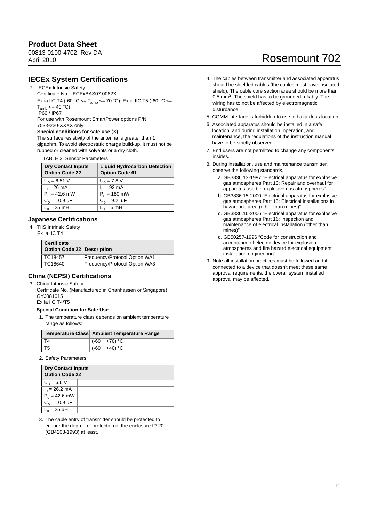## **Product Data Sheet**

00813-0100-4702, Rev DA April 2010

## Rosemount 702

### **IECEx System Certifications**

#### I7 IECEx Intrinsic Safety

Certificate No.: IECExBAS07.0082X

Ex ia IIC T4 (-60 °C <= T<sub>amb</sub> <= 70 °C), Ex ia IIC T5 (-60 °C <=  $T_{amb} \leq 40 °C$ 

IP66 / IP67

For use with Rosemount SmartPower options P/N 753-9220-XXXX only

### **Special conditions for safe use (X)**

The surface resistivity of the antenna is greater than 1 gigaohm. To avoid electrostatic charge build-up, it must not be rubbed or cleaned with solvents or a dry cloth.

TABLE 3. Sensor Parameters

| <b>Dry Contact Inputs</b><br><b>Option Code 22</b> | <b>Liquid Hydrocarbon Detection</b><br><b>Option Code 61</b> |
|----------------------------------------------------|--------------------------------------------------------------|
| $U_0 = 6.51$ V                                     | $U_0$ = 7.8 V                                                |
| $I_0 = 26$ mA                                      | $I_0 = 92 \text{ mA}$                                        |
| $P_0 = 42.6$ mW                                    | $P_0$ = 180 mW                                               |
| $C_0 = 10.9$ uF                                    | $C_0 = 9.2$ . uF                                             |
| $L_0 = 25$ mH                                      | $L_0 = 5$ mH                                                 |

#### **Japanese Certifications**

I4 TIIS Intrinsic Safety Ex ia IIC T4

| <b>Certificate</b>         |                               |
|----------------------------|-------------------------------|
| Option Code 22 Description |                               |
| TC18457                    | Frequency/Protocol Option WA1 |
| TC18640                    | Frequency/Protocol Option WA3 |

#### **China (NEPSI) Certifications**

I3 China Intrinsic Safety

Certificate No. (Manufactured in Chanhassen or Singapore): GYJ081015

Ex ia IIC T4/T5

#### **Special Condition for Safe Use**

1. The temperature class depends on ambient temperature range as follows:

|                | Temperature Class Ambient Temperature Range |
|----------------|---------------------------------------------|
| T <sub>4</sub> | $ ($ -60 ~ +70) °C                          |
| T <sub>5</sub> | $ ($ -60 ~ +40) °C                          |

2. Safety Parameters:

| <b>Dry Contact Inputs</b><br><b>Option Code 22</b> |  |  |
|----------------------------------------------------|--|--|
| $U_0 = 6.6 V$                                      |  |  |
| $I_0 = 26.2 \text{ mA}$                            |  |  |
| $P_0 = 42.6$ mW                                    |  |  |
| $C_0 = 10.9$ uF                                    |  |  |
| $L_0 = 25$ uH                                      |  |  |

3. The cable entry of transmitter should be protected to ensure the degree of protection of the enclosure IP 20 (GB4208-1993) at least.

- 4. The cables between transmitter and associated apparatus should be shielded cables (the cables must have insulated shield). The cable core section area should be more than 0.5 mm<sup>2</sup>. The shield has to be grounded reliably. The wiring has to not be affected by electromagnetic disturbance.
- 5. COMM interface is forbidden to use in hazardous location.
- 6. Associated apparatus should be installed in a safe location, and during installation, operation, and maintenance, the regulations of the instruction manual have to be strictly observed.
- 7. End users are not permitted to change any components insides.
- 8. During installation, use and maintenance transmitter, observe the following standards.
	- a. GB3836.13-1997 "Electrical apparatus for explosive gas atmospheres Part 13: Repair and overhaul for apparatus used in explosive gas atmospheres"
	- b. GB3836.15-2000 "Electrical apparatus for explosive gas atmospheres Part 15: Electrical installations in hazardous area (other than mines)"
	- c. GB3836.16-2006 "Electrical apparatus for explosive gas atmospheres Part 16: Inspection and maintenance of electrical installation (other than mines)"
	- d. GB50257-1996 "Code for construction and acceptance of electric device for explosion atmospheres and fire hazard electrical equipment installation engineering"
- 9. Note all installation practices must be followed and if connected to a device that doesn't meet these same approval requirements, the overall system installed approval may be affected.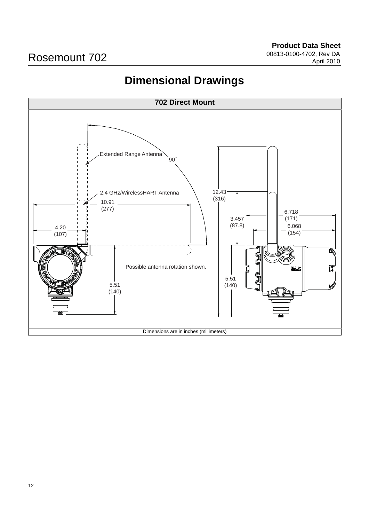## **Dimensional Drawings**

<span id="page-11-0"></span>